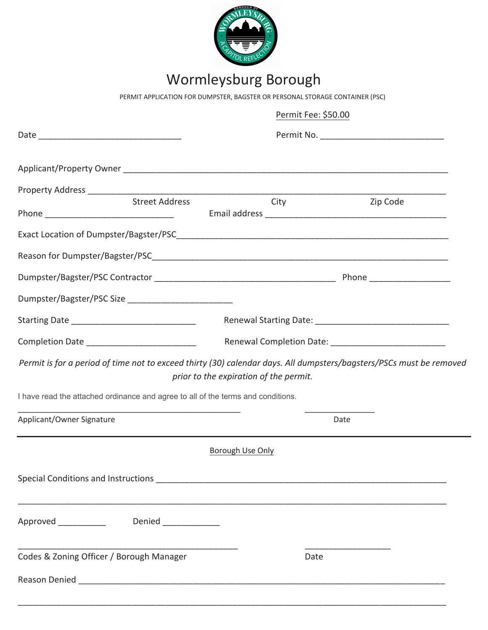

# Wormleysburg Borough

PERMIT APPLICATION FOR DUMPSTER, BAGSTER OR PERSONAL STORAGE CONTAINER (PSC)

|                                                                                  |                                                                                                                        |                                        | Permit Fee: \$50.00 |                                                                                                                     |  |
|----------------------------------------------------------------------------------|------------------------------------------------------------------------------------------------------------------------|----------------------------------------|---------------------|---------------------------------------------------------------------------------------------------------------------|--|
|                                                                                  |                                                                                                                        |                                        |                     |                                                                                                                     |  |
|                                                                                  |                                                                                                                        |                                        |                     |                                                                                                                     |  |
|                                                                                  |                                                                                                                        |                                        |                     |                                                                                                                     |  |
|                                                                                  | Street Address                                                                                                         |                                        | City                | Zip Code                                                                                                            |  |
|                                                                                  |                                                                                                                        |                                        |                     |                                                                                                                     |  |
|                                                                                  |                                                                                                                        |                                        |                     |                                                                                                                     |  |
|                                                                                  |                                                                                                                        |                                        |                     |                                                                                                                     |  |
| Dumpster/Bagster/PSC Size ___________________________                            |                                                                                                                        |                                        |                     |                                                                                                                     |  |
| Starting Date _________________________________                                  |                                                                                                                        |                                        |                     |                                                                                                                     |  |
| Completion Date __________________________                                       |                                                                                                                        |                                        |                     |                                                                                                                     |  |
|                                                                                  |                                                                                                                        | prior to the expiration of the permit. |                     | Permit is for a period of time not to exceed thirty (30) calendar days. All dumpsters/bagsters/PSCs must be removed |  |
| I have read the attached ordinance and agree to all of the terms and conditions. |                                                                                                                        |                                        |                     |                                                                                                                     |  |
| Applicant/Owner Signature                                                        | <u> 1989 - Johann John Harry Harry Harry Harry Harry Harry Harry Harry Harry Harry Harry Harry Harry Harry Harry H</u> |                                        |                     | Date                                                                                                                |  |
|                                                                                  |                                                                                                                        | Borough Use Only                       |                     |                                                                                                                     |  |
|                                                                                  |                                                                                                                        |                                        |                     |                                                                                                                     |  |
| Approved Denied Denied                                                           |                                                                                                                        |                                        |                     |                                                                                                                     |  |
| Codes & Zoning Officer / Borough Manager                                         |                                                                                                                        |                                        | Date                |                                                                                                                     |  |
|                                                                                  |                                                                                                                        |                                        |                     |                                                                                                                     |  |
|                                                                                  |                                                                                                                        |                                        |                     |                                                                                                                     |  |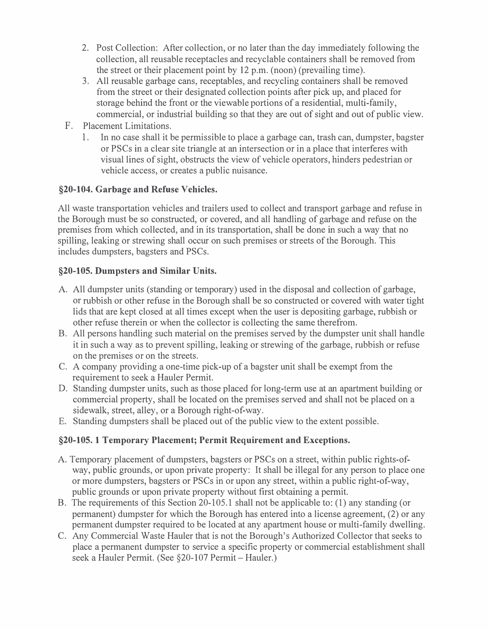- 2. Post Collection: After collection, or no later than the day immediately following the collection, all reusable receptacles and recyclable containers shall be removed from the street or their placement point by 12 p.m. (noon) (prevailing time).
- 3. All reusable garbage cans, receptables, and recycling containers shall be removed from the street or their designated collection points after pick up, and placed for storage behind the front or the viewable portions of a residential, multi-family, commercial, or industrial building so that they are out of sight and out of public view.
- F. Placement Limitations.
	- 1. In no case shall it be permissible to place a garbage can, trash can, dumpster, bagster or PSCs in a clear site triangle at an intersection or in a place that interferes with visual lines of sight, obstructs the view of vehicle operators, hinders pedestrian or vehicle access, or creates a public nuisance.

### **§20-104. Garbage and Refuse Vehicles.**

All waste transportation vehicles and trailers used to collect and transport garbage and refuse in the Borough must be so constructed, or covered, and all handling of garbage and refuse on the premises from which collected, and in its transportation, shall be done in such a way that no spilling, leaking or strewing shall occur on such premises or streets of the Borough. This includes dumpsters, bagsters and PSCs.

### **§20-105. Dumpsters and Similar Units.**

- A. All dumpster units (standing or temporary) used in the disposal and collection of garbage, or rubbish or other refuse in the Borough shall be so constructed or covered with water tight lids that are kept closed at all times except when the user is depositing garbage, rubbish or other refuse therein or when the collector is collecting the same therefrom.
- B. All persons handling such material on the premises served by the dumpster unit shall handle it in such a way as to prevent spilling, leaking or strewing of the garbage, rubbish or refuse on the premises or on the streets.
- C. A company providing a one-time pick-up of a bagster unit shall be exempt from the requirement to seek a Hauler Permit.
- D. Standing dumpster units, such as those placed for long-term use at an apartment building or commercial property, shall be located on the premises served and shall not be placed on a sidewalk, street, alley, or a Borough right-of-way.
- E. Standing dumpsters shall be placed out of the public view to the extent possible.

# **§20-105. 1 Temporary Placement; Permit Requirement and Exceptions.**

- A. Temporary placement of dumpsters, bagsters or PSCs on a street, within public rights-ofway, public grounds, or upon private property: It shall be illegal for any person to place one or more dumpsters, bagsters or PSCs in or upon any street, within a public right-of-way, public grounds or upon private property without first obtaining a permit.
- B. The requirements of this Section 20-105.1 shall not be applicable to: (1) any standing (or permanent) dumpster for which the Borough has entered into a license agreement, (2) or any permanent dumpster required to be located at any apartment house or multi-family dwelling.
- C. Any Commercial Waste Hauler that is not the Borough's Authorized Collector that seeks to place a permanent dumpster to service a specific property or commercial establishment shall seek a Hauler Permit. (See §20-107 Permit - Hauler.)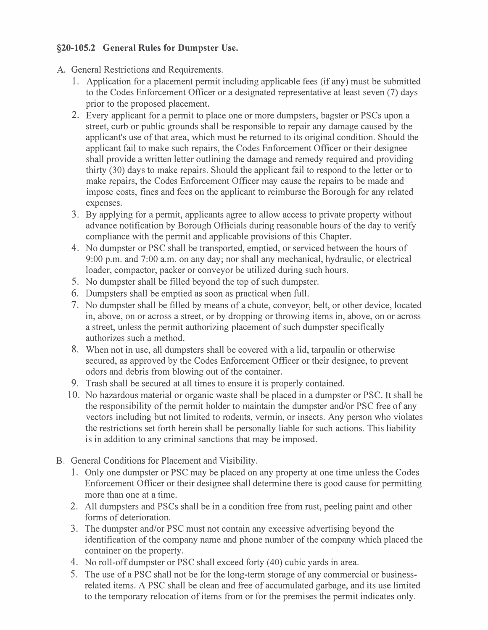# **§20-105.2 General Rules for Dumpster Use.**

- A. General Restrictions and Requirements.
	- 1. Application for a placement permit including applicable fees (if any) must be submitted to the Codes Enforcement Officer or a designated representative at least seven (7) days prior to the proposed placement.
	- 2. Every applicant for a permit to place one or more dumpsters, bagster or PSCs upon a street, curb or public grounds shall be responsible to repair any damage caused by the applicant's use of that area, which must be returned to its original condition. Should the applicant fail to make such repairs, the Codes Enforcement Officer or their designee shall provide a written letter outlining the damage and remedy required and providing thirty (30) days to make repairs. Should the applicant fail to respond to the letter or to make repairs, the Codes Enforcement Officer may cause the repairs to be made and impose costs, fines and fees on the applicant to reimburse the Borough for any related expenses.
	- 3. By applying for a permit, applicants agree to allow access to private property without advance notification by Borough Officials during reasonable hours of the day to verify compliance with the permit and applicable provisions of this Chapter.
	- 4. No dumpster or PSC shall be transported, emptied, or serviced between the hours of 9:00 p.m. and 7:00 a.m. on any day; nor shall any mechanical, hydraulic, or electrical loader, compactor, packer or conveyor be utilized during such hours.
	- 5. No dumpster shall be filled beyond the top of such dumpster.
	- 6. Dumpsters shall be emptied as soon as practical when full.
	- 7. No dumpster shall be filled by means of a chute, conveyor, belt, or other device, located in, above, on or across a street, or by dropping or throwing items in, above, on or across a street, unless the permit authorizing placement of such dumpster specifically authorizes such a method.
	- 8. When not in use, all dumpsters shall be covered with a lid, tarpaulin or otherwise secured, as approved by the Codes Enforcement Officer or their designee, to prevent odors and debris from blowing out of the container.
	- 9. Trash shall be secured at all times to ensure it is properly contained.
	- 10. No hazardous material or organic waste shall be placed in a dumpster or PSC. It shall be the responsibility of the permit holder to maintain the dumpster and/or PSC free of any vectors including but not limited to rodents, vermin, or insects. Any person who violates the restrictions set forth herein shall be personally liable for such actions. This liability is in addition to any criminal sanctions that may be imposed.
- B. General Conditions for Placement and Visibility.
	- 1. Only one dumpster or PSC may be placed on any property at one time unless the Codes Enforcement Officer or their designee shall determine there is good cause for permitting more than one at a time.
	- 2. All dumpsters and PSCs shall be in a condition free from rust, peeling paint and other forms of deterioration.
	- 3. The dumpster and/or PSC must not contain any excessive advertising beyond the identification of the company name and phone number of the company which placed the container on the property.
	- 4. No roll-off dumpster or PSC shall exceed forty (40) cubic yards in area.
	- 5. The use of a PSC shall not be for the long-term storage of any commercial or businessrelated items. A PSC shall be clean and free of accumulated garbage, and its use limited to the temporary relocation of items from or for the premises the permit indicates only.